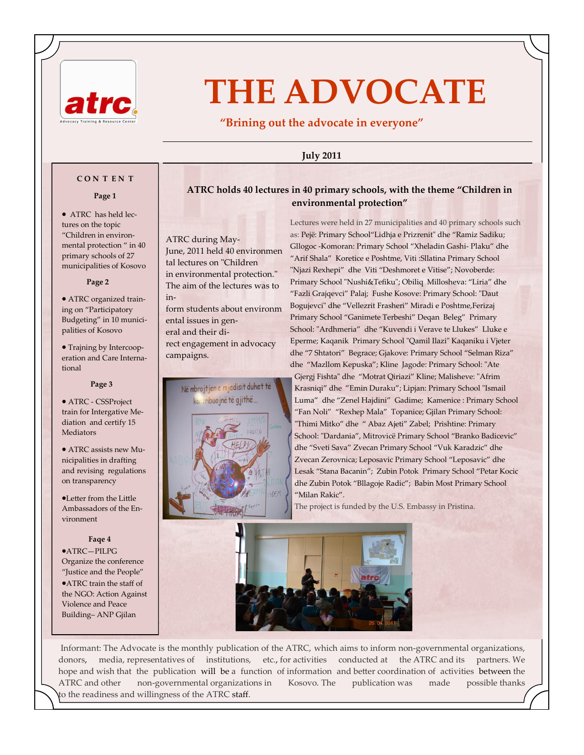

# **THE ADVOCATE**

**"Brining out the advocate in everyone"** 

### **July 2011**

### **C O N T E N T**

### **Page 1**

 ATRC has held lectures on the topic "Children in environmental protection " in 40 primary schools of 27 municipalities of Kosovo

### **Page 2**

 ATRC organized training on "Participatory Budgeting" in 10 municipalities of Kosovo

• Trajning by Intercooperation and Care International

### **Page 3**

 ATRC - CSSProject train for Intergative Mediation and certify 15 Mediators

 ATRC assists new Municipalities in drafting and revising regulations on transparency

Letter from the Little Ambassadors of the Environment

### **Faqe 4**

ATRC—PILPG Organize the conference "Justice and the People" ATRC train the staff of the NGO: Action Against Violence and Peace Building– ANP Gjilan

**ATRC holds 40 lectures in 40 primary schools, with the theme "Children in environmental protection"** 

ATRC during May-June, 2011 held 40 environmen tal lectures on "Children in environmental protection." The aim of the lectures was to inform students about environm ental issues in general and their direct engagement in advocacy campaigns.



Lectures were held in 27 municipalities and 40 primary schools such as: Pejë: Primary School"Lidhja e Prizrenit" dhe "Ramiz Sadiku; Gllogoc -Komoran: Primary School "Xheladin Gashi- Plaku" dhe "Arif Shala" Koretice e Poshtme, Viti :Sllatina Primary School "Njazi Rexhepi" dhe Viti "Deshmoret e Vitise"; Novoberde: Primary School "Nushi&Tefiku"; Obiliq Millosheva: "Liria" dhe "Fazli Grajqevci" Palaj; Fushe Kosove: Primary School: "Daut Bogujevci" dhe "Vellezrit Frasheri" Miradi e Poshtme,Ferizaj Primary School "Ganimete Terbeshi" Deqan Beleg" Primary School: "Ardhmeria" dhe "Kuvendi i Verave te Llukes" Lluke e Eperme; Kaqanik Primary School "Qamil Ilazi" Kaqaniku i Vjeter dhe "7 Shtatori" Begrace; Gjakove: Primary School "Selman Riza" dhe "Mazllom Kepuska"; Kline Jagode: Primary School: "Ate Gjergj Fishta" dhe "Motrat Qiriazi" Kline; Malisheve: "Afrim Krasniqi" dhe "Emin Duraku"; Lipjan: Primary School "Ismail Luma" dhe "Zenel Hajdini" Gadime; Kamenice : Primary School "Fan Noli" "Rexhep Mala" Topanice; Gjilan Primary School: "Thimi Mitko" dhe " Abaz Ajeti" Zabel; Prishtine: Primary School: "Dardania", Mitrovicë Primary School "Branko Badicevic" dhe "Sveti Sava" Zvecan Primary School "Vuk Karadzic" dhe Zvecan Zerovnica; Leposavic Primary School "Leposavic" dhe Lesak "Stana Bacanin"; Zubin Potok Primary School "Petar Kocic dhe Zubin Potok "Bllagoje Radic"; Babin Most Primary School "Milan Rakic".

The project is funded by the U.S. Embassy in Pristina.



Informant: The Advocate is the monthly publication of the ATRC, which aims to inform non-governmental organizations, donors, media, representatives of institutions, etc., for activities conducted at the ATRC and its partners. We hope and wish that the publication will be a function of information and better coordination of activities between the ATRC and other non-governmental organizations in Kosovo. The publication was made possible thanks to the readiness and willingness of the ATRC staff.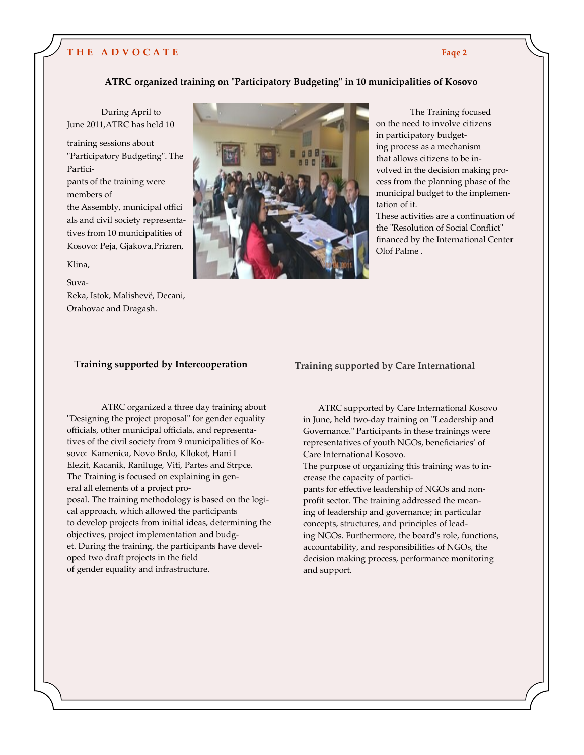# **T H E A D V O C A T E**

### **ATRC organized training on "Participatory Budgeting" in 10 municipalities of Kosovo**

 During April to June 2011,ATRC has held 10

training sessions about "Participatory Budgeting". The Participants of the training were members of the Assembly, municipal offici als and civil society representa-

tives from 10 municipalities of Kosovo: Peja, Gjakova,Prizren,

### Klina,

Suva-

Reka, Istok, Malishevë, Decani, Orahovac and Dragash.



The Training focused on the need to involve citizens in participatory budgeting process as a mechanism that allows citizens to be involved in the decision making process from the planning phase of the municipal budget to the implementation of it.

These activities are a continuation of the "Resolution of Social Conflict" financed by the International Center Olof Palme .

### **Training supported by Intercooperation**

ATRC organized a three day training about "Designing the project proposal" for gender equality officials, other municipal officials, and representatives of the civil society from 9 municipalities of Kosovo: Kamenica, Novo Brdo, Kllokot, Hani I Elezit, Kacanik, Raniluge, Viti, Partes and Strpce. The Training is focused on explaining in general all elements of a project proposal. The training methodology is based on the logical approach, which allowed the participants to develop projects from initial ideas, determining the objectives, project implementation and budget. During the training, the participants have developed two draft projects in the field of gender equality and infrastructure.

**Training supported by Care International**

 ATRC supported by Care International Kosovo in June, held two-day training on "Leadership and Governance." Participants in these trainings were representatives of youth NGOs, beneficiaries' of Care International Kosovo.

The purpose of organizing this training was to increase the capacity of partici-

pants for effective leadership of NGOs and nonprofit sector. The training addressed the meaning of leadership and governance; in particular concepts, structures, and principles of leading NGOs. Furthermore, the board's role, functions, accountability, and responsibilities of NGOs, the decision making process, performance monitoring and support.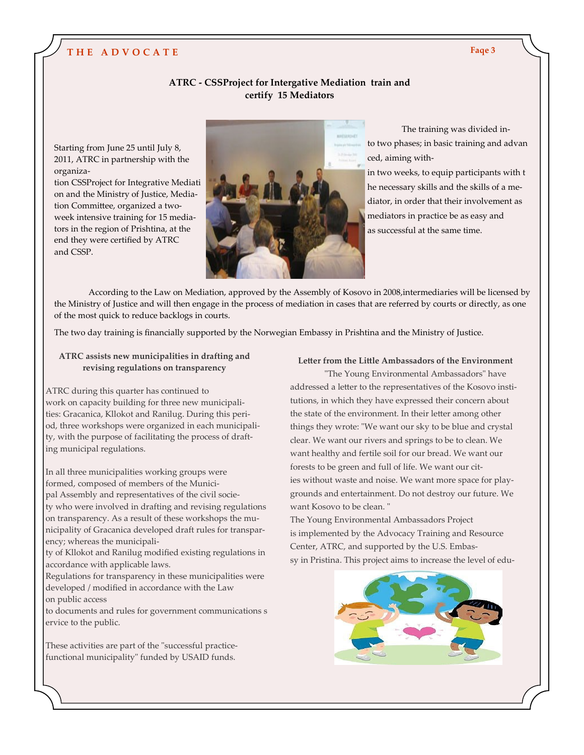# **T H E A D V O C A T E Faqe 3**

### **ATRC - CSSProject for Intergative Mediation train and certify 15 Mediators**

Starting from June 25 until July 8, 2011, ATRC in partnership with the organiza-

tion CSSProject for Integrative Mediati on and the Ministry of Justice, Mediation Committee, organized a twoweek intensive training for 15 mediators in the region of Prishtina, at the end they were certified by ATRC and CSSP.



The training was divided into two phases; in basic training and advan ced, aiming with-

in two weeks, to equip participants with t he necessary skills and the skills of a mediator, in order that their involvement as mediators in practice be as easy and as successful at the same time.

According to the Law on Mediation, approved by the Assembly of Kosovo in 2008,intermediaries will be licensed by the Ministry of Justice and will then engage in the process of mediation in cases that are referred by courts or directly, as one of the most quick to reduce backlogs in courts.

The two day training is financially supported by the Norwegian Embassy in Prishtina and the Ministry of Justice.

### **ATRC assists new municipalities in drafting and revising regulations on transparency**

ATRC during this quarter has continued to work on capacity building for three new municipalities: Gracanica, Kllokot and Ranilug. During this period, three workshops were organized in each municipality, with the purpose of facilitating the process of drafting municipal regulations.

In all three municipalities working groups were formed, composed of members of the Municipal Assembly and representatives of the civil society who were involved in drafting and revising regulations on transparency. As a result of these workshops the municipality of Gracanica developed draft rules for transparency; whereas the municipali-

ty of Kllokot and Ranilug modified existing regulations in accordance with applicable laws.

Regulations for transparency in these municipalities were developed / modified in accordance with the Law on public access

to documents and rules for government communications s ervice to the public.

These activities are part of the "successful practicefunctional municipality" funded by USAID funds.

# **Letter from the Little Ambassadors of the Environment**

"The Young Environmental Ambassadors" have addressed a letter to the representatives of the Kosovo institutions, in which they have expressed their concern about the state of the environment. In their letter among other things they wrote: "We want our sky to be blue and crystal clear. We want our rivers and springs to be to clean. We want healthy and fertile soil for our bread. We want our forests to be green and full of life. We want our cities without waste and noise. We want more space for playgrounds and entertainment. Do not destroy our future. We want Kosovo to be clean. "

The Young Environmental Ambassadors Project is implemented by the Advocacy Training and Resource Center, ATRC, and supported by the U.S. Embassy in Pristina. This project aims to increase the level of edu-

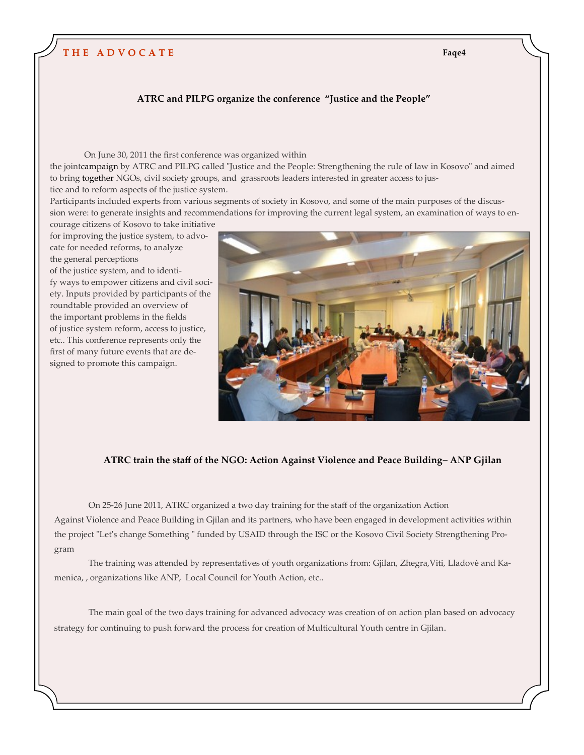# **T H E A D V O C A T E Faqe4**

### **ATRC and PILPG organize the conference "Justice and the People"**

On June 30, 2011 the first conference was organized within the jointcampaign by ATRC and PILPG called "Justice and the People: Strengthening the rule of law in Kosovo" and aimed to bring together NGOs, civil society groups, and grassroots leaders interested in greater access to justice and to reform aspects of the justice system.

Participants included experts from various segments of society in Kosovo, and some of the main purposes of the discussion were: to generate insights and recommendations for improving the current legal system, an examination of ways to en-

courage citizens of Kosovo to take initiative for improving the justice system, to advocate for needed reforms, to analyze the general perceptions

of the justice system, and to identify ways to empower citizens and civil society. Inputs provided by participants of the roundtable provided an overview of the important problems in the fields of justice system reform, access to justice, etc.. This conference represents only the first of many future events that are designed to promote this campaign.



### **ATRC train the staff of the NGO: Action Against Violence and Peace Building– ANP Gjilan**

On 25-26 June 2011, ATRC organized a two day training for the staff of the organization Action Against Violence and Peace Building in Gjilan and its partners, who have been engaged in development activities within the project "Let's change Something " funded by USAID through the ISC or the Kosovo Civil Society Strengthening Program

The training was attended by representatives of youth organizations from: Gjilan, Zhegra,Viti, Lladovė and Kamenica, , organizations like ANP, Local Council for Youth Action, etc..

The main goal of the two days training for advanced advocacy was creation of on action plan based on advocacy strategy for continuing to push forward the process for creation of Multicultural Youth centre in Gjilan.